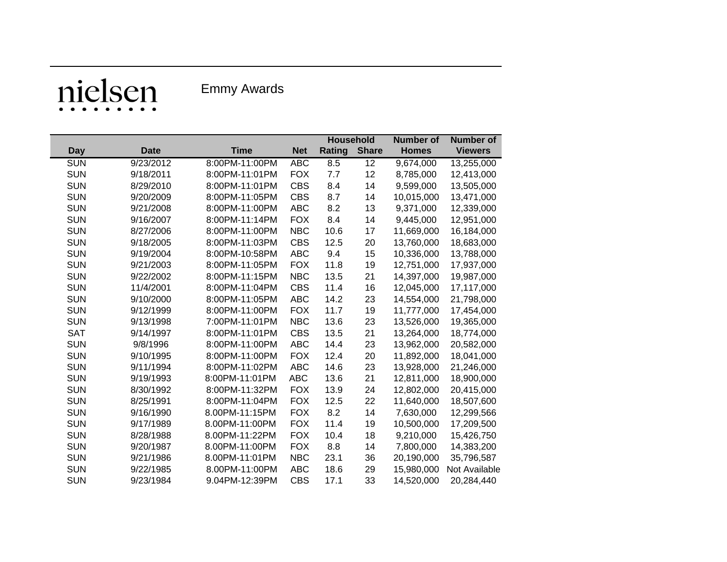## nielsen

Emmy Awards

|            |             |                |            | <b>Household</b> |              | <b>Number of</b> | <b>Number of</b> |
|------------|-------------|----------------|------------|------------------|--------------|------------------|------------------|
| <b>Day</b> | <b>Date</b> | <b>Time</b>    | <b>Net</b> | <b>Rating</b>    | <b>Share</b> | <b>Homes</b>     | <b>Viewers</b>   |
| <b>SUN</b> | 9/23/2012   | 8:00PM-11:00PM | <b>ABC</b> | 8.5              | 12           | 9,674,000        | 13,255,000       |
| <b>SUN</b> | 9/18/2011   | 8:00PM-11:01PM | <b>FOX</b> | 7.7              | 12           | 8,785,000        | 12,413,000       |
| <b>SUN</b> | 8/29/2010   | 8:00PM-11:01PM | <b>CBS</b> | 8.4              | 14           | 9,599,000        | 13,505,000       |
| <b>SUN</b> | 9/20/2009   | 8:00PM-11:05PM | <b>CBS</b> | 8.7              | 14           | 10,015,000       | 13,471,000       |
| <b>SUN</b> | 9/21/2008   | 8:00PM-11:00PM | <b>ABC</b> | 8.2              | 13           | 9,371,000        | 12,339,000       |
| <b>SUN</b> | 9/16/2007   | 8:00PM-11:14PM | <b>FOX</b> | 8.4              | 14           | 9,445,000        | 12,951,000       |
| <b>SUN</b> | 8/27/2006   | 8:00PM-11:00PM | <b>NBC</b> | 10.6             | 17           | 11,669,000       | 16,184,000       |
| <b>SUN</b> | 9/18/2005   | 8:00PM-11:03PM | <b>CBS</b> | 12.5             | 20           | 13,760,000       | 18,683,000       |
| <b>SUN</b> | 9/19/2004   | 8:00PM-10:58PM | <b>ABC</b> | 9.4              | 15           | 10,336,000       | 13,788,000       |
| <b>SUN</b> | 9/21/2003   | 8:00PM-11:05PM | <b>FOX</b> | 11.8             | 19           | 12,751,000       | 17,937,000       |
| <b>SUN</b> | 9/22/2002   | 8:00PM-11:15PM | <b>NBC</b> | 13.5             | 21           | 14,397,000       | 19,987,000       |
| <b>SUN</b> | 11/4/2001   | 8:00PM-11:04PM | <b>CBS</b> | 11.4             | 16           | 12,045,000       | 17,117,000       |
| <b>SUN</b> | 9/10/2000   | 8:00PM-11:05PM | <b>ABC</b> | 14.2             | 23           | 14,554,000       | 21,798,000       |
| <b>SUN</b> | 9/12/1999   | 8:00PM-11:00PM | <b>FOX</b> | 11.7             | 19           | 11,777,000       | 17,454,000       |
| <b>SUN</b> | 9/13/1998   | 7:00PM-11:01PM | <b>NBC</b> | 13.6             | 23           | 13,526,000       | 19,365,000       |
| <b>SAT</b> | 9/14/1997   | 8:00PM-11:01PM | <b>CBS</b> | 13.5             | 21           | 13,264,000       | 18,774,000       |
| <b>SUN</b> | 9/8/1996    | 8:00PM-11:00PM | <b>ABC</b> | 14.4             | 23           | 13,962,000       | 20,582,000       |
| <b>SUN</b> | 9/10/1995   | 8:00PM-11:00PM | <b>FOX</b> | 12.4             | 20           | 11,892,000       | 18,041,000       |
| <b>SUN</b> | 9/11/1994   | 8:00PM-11:02PM | <b>ABC</b> | 14.6             | 23           | 13,928,000       | 21,246,000       |
| <b>SUN</b> | 9/19/1993   | 8:00PM-11:01PM | <b>ABC</b> | 13.6             | 21           | 12,811,000       | 18,900,000       |
| <b>SUN</b> | 8/30/1992   | 8:00PM-11:32PM | <b>FOX</b> | 13.9             | 24           | 12,802,000       | 20,415,000       |
| <b>SUN</b> | 8/25/1991   | 8:00PM-11:04PM | <b>FOX</b> | 12.5             | 22           | 11,640,000       | 18,507,600       |
| <b>SUN</b> | 9/16/1990   | 8.00PM-11:15PM | <b>FOX</b> | 8.2              | 14           | 7,630,000        | 12,299,566       |
| <b>SUN</b> | 9/17/1989   | 8.00PM-11:00PM | <b>FOX</b> | 11.4             | 19           | 10,500,000       | 17,209,500       |
| <b>SUN</b> | 8/28/1988   | 8.00PM-11:22PM | <b>FOX</b> | 10.4             | 18           | 9,210,000        | 15,426,750       |
| <b>SUN</b> | 9/20/1987   | 8.00PM-11:00PM | <b>FOX</b> | 8.8              | 14           | 7,800,000        | 14,383,200       |
| <b>SUN</b> | 9/21/1986   | 8.00PM-11:01PM | <b>NBC</b> | 23.1             | 36           | 20,190,000       | 35,796,587       |
| <b>SUN</b> | 9/22/1985   | 8.00PM-11:00PM | <b>ABC</b> | 18.6             | 29           | 15,980,000       | Not Available    |
| <b>SUN</b> | 9/23/1984   | 9.04PM-12:39PM | <b>CBS</b> | 17.1             | 33           | 14,520,000       | 20,284,440       |